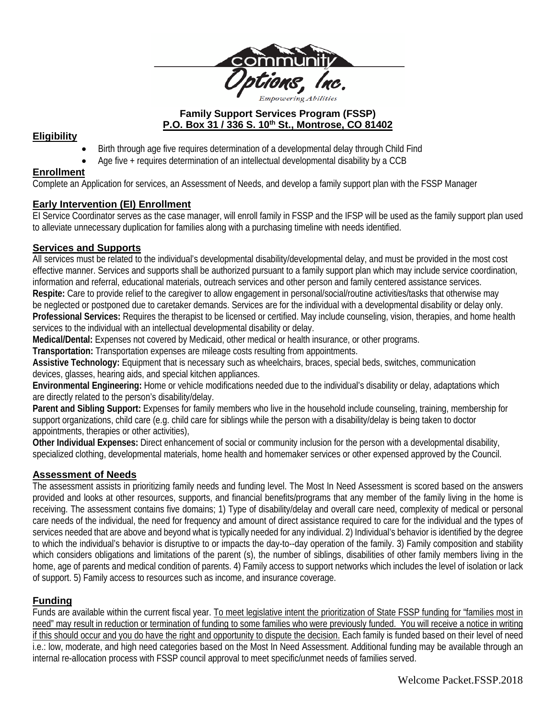

## **Family Support Services Program (FSSP) P.O. Box 31 / 336 S. 10th St., Montrose, CO 81402**

# **Eligibility**

- Birth through age five requires determination of a developmental delay through Child Find
- Age five + requires determination of an intellectual developmental disability by a CCB

# **Enrollment**

Complete an Application for services, an Assessment of Needs, and develop a family support plan with the FSSP Manager

# **Early Intervention (EI) Enrollment**

EI Service Coordinator serves as the case manager, will enroll family in FSSP and the IFSP will be used as the family support plan used to alleviate unnecessary duplication for families along with a purchasing timeline with needs identified.

# **Services and Supports**

All services must be related to the individual's developmental disability/developmental delay, and must be provided in the most cost effective manner. Services and supports shall be authorized pursuant to a family support plan which may include service coordination, information and referral, educational materials, outreach services and other person and family centered assistance services. **Respite:** Care to provide relief to the caregiver to allow engagement in personal/social/routine activities/tasks that otherwise may be neglected or postponed due to caretaker demands. Services are for the individual with a developmental disability or delay only. **Professional Services:** Requires the therapist to be licensed or certified. May include counseling, vision, therapies, and home health services to the individual with an intellectual developmental disability or delay.

**Medical/Dental:** Expenses not covered by Medicaid, other medical or health insurance, or other programs.

**Transportation:** Transportation expenses are mileage costs resulting from appointments.

**Assistive Technology:** Equipment that is necessary such as wheelchairs, braces, special beds, switches, communication devices, glasses, hearing aids, and special kitchen appliances.

**Environmental Engineering:** Home or vehicle modifications needed due to the individual's disability or delay, adaptations which are directly related to the person's disability/delay.

**Parent and Sibling Support:** Expenses for family members who live in the household include counseling, training, membership for support organizations, child care (e.g. child care for siblings while the person with a disability/delay is being taken to doctor appointments, therapies or other activities),

**Other Individual Expenses:** Direct enhancement of social or community inclusion for the person with a developmental disability, specialized clothing, developmental materials, home health and homemaker services or other expensed approved by the Council.

# **Assessment of Needs**

The assessment assists in prioritizing family needs and funding level. The Most In Need Assessment is scored based on the answers provided and looks at other resources, supports, and financial benefits/programs that any member of the family living in the home is receiving. The assessment contains five domains; 1) Type of disability/delay and overall care need, complexity of medical or personal care needs of the individual, the need for frequency and amount of direct assistance required to care for the individual and the types of services needed that are above and beyond what is typically needed for any individual. 2) Individual's behavior is identified by the degree to which the individual's behavior is disruptive to or impacts the day-to--day operation of the family. 3) Family composition and stability which considers obligations and limitations of the parent (s), the number of siblings, disabilities of other family members living in the home, age of parents and medical condition of parents. 4) Family access to support networks which includes the level of isolation or lack of support. 5) Family access to resources such as income, and insurance coverage.

# **Funding**

Funds are available within the current fiscal year. To meet legislative intent the prioritization of State FSSP funding for "families most in need" may result in reduction or termination of funding to some families who were previously funded. You will receive a notice in writing if this should occur and you do have the right and opportunity to dispute the decision. Each family is funded based on their level of need i.e.: low, moderate, and high need categories based on the Most In Need Assessment. Additional funding may be available through an internal re-allocation process with FSSP council approval to meet specific/unmet needs of families served.